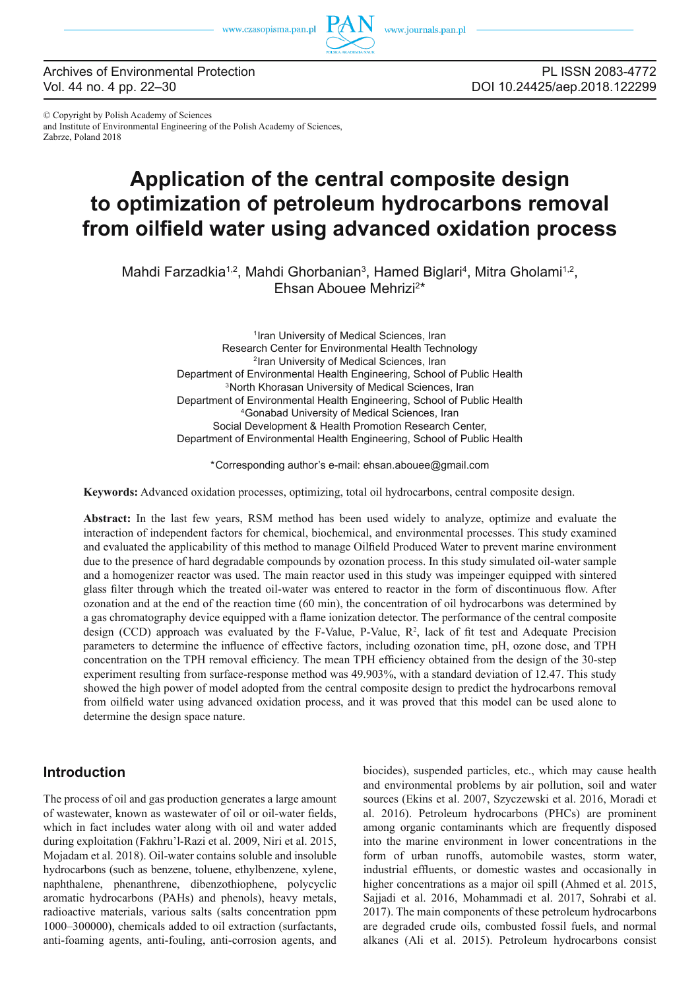

Archives of Environmental Protection Vol. 44 no. 4 pp. 22–30

PL ISSN 2083-4772 DOI 10.24425/aep.2018.122299

© Copyright by Polish Academy of Sciences and Institute of Environmental Engineering of the Polish Academy of Sciences, Zabrze, Poland 2018

# **Application of the central composite design to optimization of petroleum hydrocarbons removal**  from oilfield water using advanced oxidation process

Mahdi Farzadkia<sup>1,2</sup>, Mahdi Ghorbanian<sup>3</sup>, Hamed Biglari<sup>4</sup>, Mitra Gholami<sup>1,2</sup>, Ehsan Abouee Mehrizi<sup>2\*</sup>

> 1Iran University of Medical Sciences, Iran Research Center for Environmental Health Technology 2Iran University of Medical Sciences, Iran Department of Environmental Health Engineering, School of Public Health <sup>3</sup>North Khorasan University of Medical Sciences, Iran Department of Environmental Health Engineering, School of Public Health 4Gonabad University of Medical Sciences, Iran Social Development & Health Promotion Research Center, Department of Environmental Health Engineering, School of Public Health

\*Corresponding author's e-mail: ehsan.abouee@gmail.com

**Keywords:** Advanced oxidation processes, optimizing, total oil hydrocarbons, central composite design.

**Abstract:** In the last few years, RSM method has been used widely to analyze, optimize and evaluate the interaction of independent factors for chemical, biochemical, and environmental processes. This study examined and evaluated the applicability of this method to manage Oilfield Produced Water to prevent marine environment due to the presence of hard degradable compounds by ozonation process. In this study simulated oil-water sample and a homogenizer reactor was used. The main reactor used in this study was impeinger equipped with sintered glass filter through which the treated oil-water was entered to reactor in the form of discontinuous flow. After ozonation and at the end of the reaction time (60 min), the concentration of oil hydrocarbons was determined by a gas chromatography device equipped with a flame ionization detector. The performance of the central composite design (CCD) approach was evaluated by the F-Value, P-Value,  $R<sup>2</sup>$ , lack of fit test and Adequate Precision parameters to determine the influence of effective factors, including ozonation time, pH, ozone dose, and TPH concentration on the TPH removal efficiency. The mean TPH efficiency obtained from the design of the 30-step experiment resulting from surface-response method was 49.903%, with a standard deviation of 12.47. This study showed the high power of model adopted from the central composite design to predict the hydrocarbons removal from oilfield water using advanced oxidation process, and it was proved that this model can be used alone to determine the design space nature.

# **Introduction**

The process of oil and gas production generates a large amount of wastewater, known as wastewater of oil or oil-water fields, which in fact includes water along with oil and water added during exploitation (Fakhru'l-Razi et al. 2009, Niri et al. 2015, Mojadam et al. 2018). Oil-water contains soluble and insoluble hydrocarbons (such as benzene, toluene, ethylbenzene, xylene, naphthalene, phenanthrene, dibenzothiophene, polycyclic aromatic hydrocarbons (PAHs) and phenols), heavy metals, radioactive materials, various salts (salts concentration ppm 1000–300000), chemicals added to oil extraction (surfactants, anti-foaming agents, anti-fouling, anti-corrosion agents, and

biocides), suspended particles, etc., which may cause health and environmental problems by air pollution, soil and water sources (Ekins et al. 2007, Szyczewski et al. 2016, Moradi et al. 2016). Petroleum hydrocarbons (PHCs) are prominent among organic contaminants which are frequently disposed into the marine environment in lower concentrations in the form of urban runoffs, automobile wastes, storm water, industrial effluents, or domestic wastes and occasionally in higher concentrations as a major oil spill (Ahmed et al. 2015, Sajjadi et al. 2016, Mohammadi et al. 2017, Sohrabi et al. 2017). The main components of these petroleum hydrocarbons are degraded crude oils, combusted fossil fuels, and normal alkanes (Ali et al. 2015). Petroleum hydrocarbons consist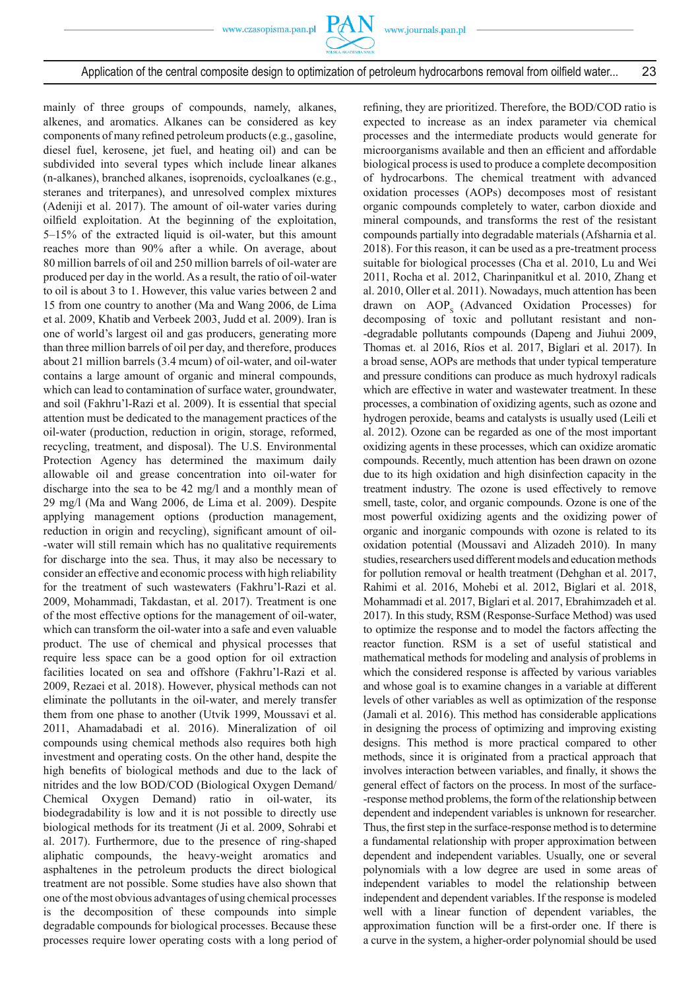

mainly of three groups of compounds, namely, alkanes, alkenes, and aromatics. Alkanes can be considered as key components of many refined petroleum products (e.g., gasoline, diesel fuel, kerosene, jet fuel, and heating oil) and can be subdivided into several types which include linear alkanes (n-alkanes), branched alkanes, isoprenoids, cycloalkanes (e.g., steranes and triterpanes), and unresolved complex mixtures (Adeniji et al. 2017). The amount of oil-water varies during oilfield exploitation. At the beginning of the exploitation, 5–15% of the extracted liquid is oil-water, but this amount reaches more than 90% after a while. On average, about 80 million barrels of oil and 250 million barrels of oil-water are produced per day in the world. As a result, the ratio of oil-water to oil is about 3 to 1. However, this value varies between 2 and 15 from one country to another (Ma and Wang 2006, de Lima et al. 2009, Khatib and Verbeek 2003, Judd et al. 2009). Iran is one of world's largest oil and gas producers, generating more than three million barrels of oil per day, and therefore, produces about 21 million barrels (3.4 mcum) of oil-water, and oil-water contains a large amount of organic and mineral compounds, which can lead to contamination of surface water, groundwater, and soil (Fakhru'l-Razi et al. 2009). It is essential that special attention must be dedicated to the management practices of the oil-water (production, reduction in origin, storage, reformed, recycling, treatment, and disposal). The U.S. Environmental Protection Agency has determined the maximum daily allowable oil and grease concentration into oil-water for discharge into the sea to be 42 mg/l and a monthly mean of 29 mg/l (Ma and Wang 2006, de Lima et al. 2009). Despite applying management options (production management, reduction in origin and recycling), significant amount of oil--water will still remain which has no qualitative requirements for discharge into the sea. Thus, it may also be necessary to consider an effective and economic process with high reliability for the treatment of such wastewaters (Fakhru'l-Razi et al. 2009, Mohammadi, Takdastan, et al. 2017). Treatment is one of the most effective options for the management of oil-water, which can transform the oil-water into a safe and even valuable product. The use of chemical and physical processes that require less space can be a good option for oil extraction facilities located on sea and offshore (Fakhru'l-Razi et al. 2009, Rezaei et al. 2018). However, physical methods can not eliminate the pollutants in the oil-water, and merely transfer them from one phase to another (Utvik 1999, Moussavi et al. 2011, Ahamadabadi et al. 2016). Mineralization of oil compounds using chemical methods also requires both high investment and operating costs. On the other hand, despite the high benefits of biological methods and due to the lack of nitrides and the low BOD/COD (Biological Oxygen Demand/ Chemical Oxygen Demand) ratio in oil-water, its biodegradability is low and it is not possible to directly use biological methods for its treatment (Ji et al. 2009, Sohrabi et al. 2017). Furthermore, due to the presence of ring-shaped aliphatic compounds, the heavy-weight aromatics and asphaltenes in the petroleum products the direct biological treatment are not possible. Some studies have also shown that one of the most obvious advantages of using chemical processes is the decomposition of these compounds into simple degradable compounds for biological processes. Because these processes require lower operating costs with a long period of refining, they are prioritized. Therefore, the BOD/COD ratio is expected to increase as an index parameter via chemical processes and the intermediate products would generate for microorganisms available and then an efficient and affordable biological process is used to produce a complete decomposition of hydrocarbons. The chemical treatment with advanced oxidation processes (AOPs) decomposes most of resistant organic compounds completely to water, carbon dioxide and mineral compounds, and transforms the rest of the resistant compounds partially into degradable materials (Afsharnia et al. 2018). For this reason, it can be used as a pre-treatment process suitable for biological processes (Cha et al. 2010, Lu and Wei 2011, Rocha et al. 2012, Charinpanitkul et al. 2010, Zhang et al. 2010, Oller et al. 2011). Nowadays, much attention has been drawn on AOP<sub>s</sub> (Advanced Oxidation Processes) for decomposing of toxic and pollutant resistant and non- -degradable pollutants compounds (Dapeng and Jiuhui 2009, Thomas et. al 2016, Ríos et al. 2017, Biglari et al. 2017). In a broad sense, AOPs are methods that under typical temperature and pressure conditions can produce as much hydroxyl radicals which are effective in water and wastewater treatment. In these processes, a combination of oxidizing agents, such as ozone and hydrogen peroxide, beams and catalysts is usually used (Leili et al. 2012). Ozone can be regarded as one of the most important oxidizing agents in these processes, which can oxidize aromatic compounds. Recently, much attention has been drawn on ozone due to its high oxidation and high disinfection capacity in the treatment industry. The ozone is used effectively to remove smell, taste, color, and organic compounds. Ozone is one of the most powerful oxidizing agents and the oxidizing power of organic and inorganic compounds with ozone is related to its oxidation potential (Moussavi and Alizadeh 2010). In many studies, researchers used different models and education methods for pollution removal or health treatment (Dehghan et al. 2017, Rahimi et al. 2016, Mohebi et al. 2012, Biglari et al. 2018, Mohammadi et al. 2017, Biglari et al. 2017, Ebrahimzadeh et al. 2017). In this study, RSM (Response-Surface Method) was used to optimize the response and to model the factors affecting the reactor function. RSM is a set of useful statistical and mathematical methods for modeling and analysis of problems in which the considered response is affected by various variables and whose goal is to examine changes in a variable at different levels of other variables as well as optimization of the response (Jamali et al. 2016). This method has considerable applications in designing the process of optimizing and improving existing designs. This method is more practical compared to other methods, since it is originated from a practical approach that involves interaction between variables, and finally, it shows the general effect of factors on the process. In most of the surface- -response method problems, the form of the relationship between dependent and independent variables is unknown for researcher. Thus, the first step in the surface-response method is to determine a fundamental relationship with proper approximation between dependent and independent variables. Usually, one or several polynomials with a low degree are used in some areas of independent variables to model the relationship between independent and dependent variables. If the response is modeled well with a linear function of dependent variables, the approximation function will be a first-order one. If there is a curve in the system, a higher-order polynomial should be used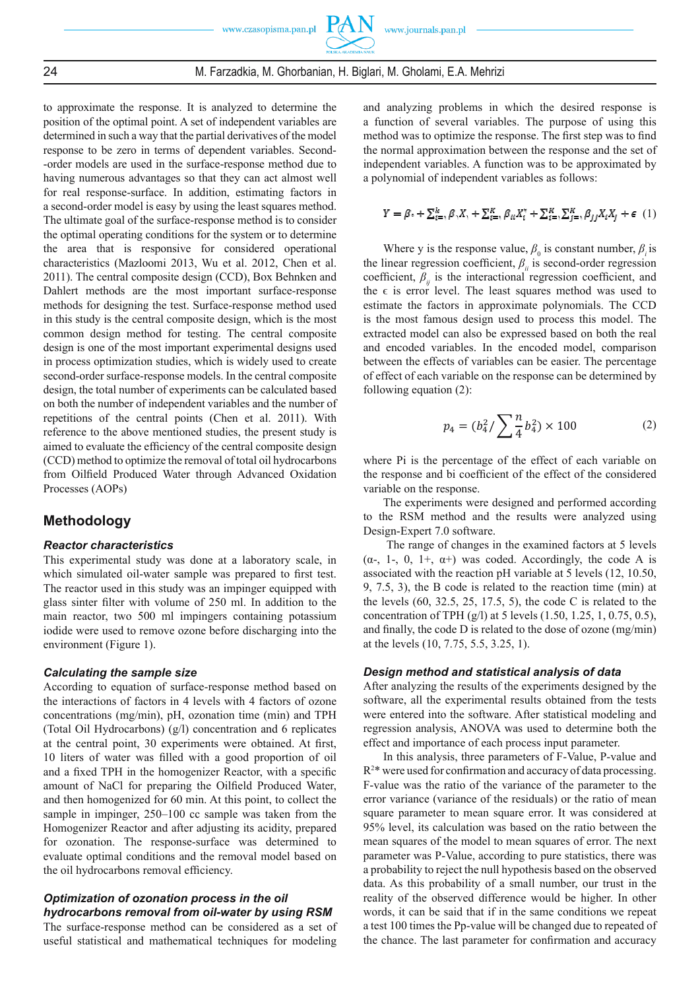

# 24 M. Farzadkia, M. Ghorbanian, H. Biglari, M. Gholami, E.A. Mehrizi

to approximate the response. It is analyzed to determine the position of the optimal point. A set of independent variables are determined in such a way that the partial derivatives of the model response to be zero in terms of dependent variables. Second- -order models are used in the surface-response method due to having numerous advantages so that they can act almost well for real response-surface. In addition, estimating factors in a second-order model is easy by using the least squares method. The ultimate goal of the surface-response method is to consider the optimal operating conditions for the system or to determine the area that is responsive for considered operational characteristics (Mazloomi 2013, Wu et al. 2012, Chen et al. 2011). The central composite design (CCD), Box Behnken and Dahlert methods are the most important surface-response methods for designing the test. Surface-response method used in this study is the central composite design, which is the most common design method for testing. The central composite design is one of the most important experimental designs used in process optimization studies, which is widely used to create second-order surface-response models. In the central composite design, the total number of experiments can be calculated based on both the number of independent variables and the number of repetitions of the central points (Chen et al. 2011). With reference to the above mentioned studies, the present study is aimed to evaluate the efficiency of the central composite design (CCD) method to optimize the removal of total oil hydrocarbons from Oilfield Produced Water through Advanced Oxidation Processes (AOPs)

# **Methodology**

#### *Reactor characteristics*

This experimental study was done at a laboratory scale, in which simulated oil-water sample was prepared to first test. The reactor used in this study was an impinger equipped with glass sinter filter with volume of 250 ml. In addition to the main reactor, two 500 ml impingers containing potassium iodide were used to remove ozone before discharging into the environment (Figure 1).

#### *Calculating the sample size*

According to equation of surface-response method based on the interactions of factors in 4 levels with 4 factors of ozone concentrations (mg/min), pH, ozonation time (min) and TPH (Total Oil Hydrocarbons) (g/l) concentration and 6 replicates at the central point, 30 experiments were obtained. At first, 10 liters of water was filled with a good proportion of oil and a fixed TPH in the homogenizer Reactor, with a specific amount of NaCl for preparing the Oilfield Produced Water, and then homogenized for 60 min. At this point, to collect the sample in impinger, 250–100 cc sample was taken from the Homogenizer Reactor and after adjusting its acidity, prepared for ozonation. The response-surface was determined to evaluate optimal conditions and the removal model based on the oil hydrocarbons removal efficiency.

## *Optimization of ozonation process in the oil hydrocarbons removal from oil-water by using RSM*

The surface-response method can be considered as a set of useful statistical and mathematical techniques for modeling

and analyzing problems in which the desired response is a function of several variables. The purpose of using this method was to optimize the response. The first step was to find the normal approximation between the response and the set of independent variables. A function was to be approximated by a polynomial of independent variables as follows:

$$
Y = \beta_i + \sum_{i=1}^k \beta_i X_i + \sum_{i=1}^K \beta_{it} X_i^{\mathsf{v}} + \sum_{i=1}^K \sum_{j=1}^K \beta_{jj} X_i X_j + \epsilon \tag{1}
$$

Where y is the response value,  $\beta_0$  is constant number,  $\beta_i$  is the linear regression coefficient,  $\beta$ <sup>*ii*</sup> is second-order regression coefficient,  $\beta_{ii}$  is the interactional regression coefficient, and the  $\epsilon$  is error level. The least squares method was used to estimate the factors in approximate polynomials. The CCD is the most famous design used to process this model. The extracted model can also be expressed based on both the real and encoded variables. In the encoded model, comparison between the effects of variables can be easier. The percentage of effect of each variable on the response can be determined by following equation (2):

$$
p_4 = (b_4^2 / \sum_{1}^{n} b_4^2) \times 100
$$
 (2)

where Pi is the percentage of the effect of each variable on the response and bi coefficient of the effect of the considered variable on the response.

The experiments were designed and performed according to the RSM method and the results were analyzed using Design-Expert 7.0 software.

 The range of changes in the examined factors at 5 levels ( $\alpha$ -, 1-, 0, 1+,  $\alpha$ +) was coded. Accordingly, the code A is associated with the reaction pH variable at 5 levels (12, 10.50, 9, 7.5, 3), the B code is related to the reaction time (min) at the levels (60, 32.5, 25, 17.5, 5), the code C is related to the concentration of TPH (g/l) at 5 levels (1.50, 1.25, 1, 0.75, 0.5), and finally, the code  $D$  is related to the dose of ozone (mg/min) at the levels (10, 7.75, 5.5, 3.25, 1).

#### *Design method and statistical analysis of data*

After analyzing the results of the experiments designed by the software, all the experimental results obtained from the tests were entered into the software. After statistical modeling and regression analysis, ANOVA was used to determine both the effect and importance of each process input parameter.

In this analysis, three parameters of F-Value, P-value and  $R^{2*}$  were used for confirmation and accuracy of data processing. F-value was the ratio of the variance of the parameter to the error variance (variance of the residuals) or the ratio of mean square parameter to mean square error. It was considered at 95% level, its calculation was based on the ratio between the mean squares of the model to mean squares of error. The next parameter was P-Value, according to pure statistics, there was a probability to reject the null hypothesis based on the observed data. As this probability of a small number, our trust in the reality of the observed difference would be higher. In other words, it can be said that if in the same conditions we repeat a test 100 times the Pp-value will be changed due to repeated of the chance. The last parameter for confirmation and accuracy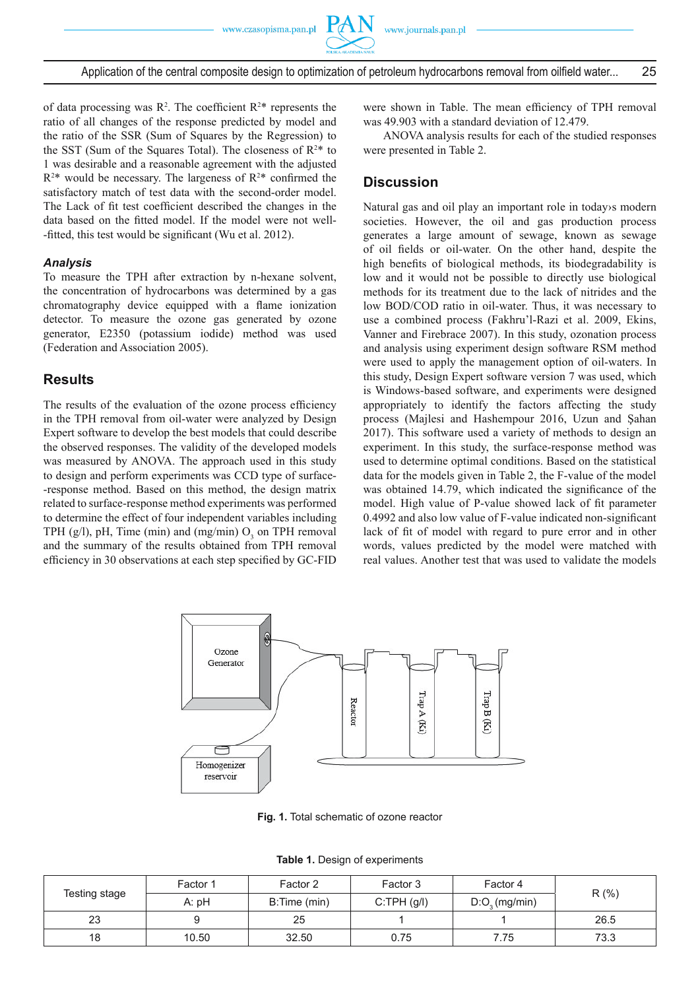

of data processing was  $\mathbb{R}^2$ . The coefficient  $\mathbb{R}^2$ \* represents the ratio of all changes of the response predicted by model and the ratio of the SSR (Sum of Squares by the Regression) to the SST (Sum of the Squares Total). The closeness of  $R^{2*}$  to 1 was desirable and a reasonable agreement with the adjusted  $R^{2*}$  would be necessary. The largeness of  $R^{2*}$  confirmed the satisfactory match of test data with the second-order model. The Lack of fit test coefficient described the changes in the data based on the fitted model. If the model were not well--fitted, this test would be significant (Wu et al. 2012).

#### *Analysis*

To measure the TPH after extraction by n-hexane solvent, the concentration of hydrocarbons was determined by a gas chromatography device equipped with a flame ionization detector. To measure the ozone gas generated by ozone generator, E2350 (potassium iodide) method was used (Federation and Association 2005).

## **Results**

The results of the evaluation of the ozone process efficiency in the TPH removal from oil-water were analyzed by Design Expert software to develop the best models that could describe the observed responses. The validity of the developed models was measured by ANOVA. The approach used in this study to design and perform experiments was CCD type of surface- -response method. Based on this method, the design matrix related to surface-response method experiments was performed to determine the effect of four independent variables including TPH (g/l), pH, Time (min) and (mg/min)  $O_3$  on TPH removal and the summary of the results obtained from TPH removal efficiency in 30 observations at each step specified by GC-FID

were shown in Table. The mean efficiency of TPH removal was 49.903 with a standard deviation of 12.479.

ANOVA analysis results for each of the studied responses were presented in Table 2.

# **Discussion**

Natural gas and oil play an important role in today›s modern societies. However, the oil and gas production process generates a large amount of sewage, known as sewage of oil fields or oil-water. On the other hand, despite the high benefits of biological methods, its biodegradability is low and it would not be possible to directly use biological methods for its treatment due to the lack of nitrides and the low BOD/COD ratio in oil-water. Thus, it was necessary to use a combined process (Fakhru'l-Razi et al. 2009, Ekins, Vanner and Firebrace 2007). In this study, ozonation process and analysis using experiment design software RSM method were used to apply the management option of oil-waters. In this study, Design Expert software version 7 was used, which is Windows-based software, and experiments were designed appropriately to identify the factors affecting the study process (Majlesi and Hashempour 2016, Uzun and Şahan 2017). This software used a variety of methods to design an experiment. In this study, the surface-response method was used to determine optimal conditions. Based on the statistical data for the models given in Table 2, the F-value of the model was obtained 14.79, which indicated the significance of the model. High value of P-value showed lack of fit parameter 0.4992 and also low value of F-value indicated non-significant lack of fit of model with regard to pure error and in other words, values predicted by the model were matched with real values. Another test that was used to validate the models



**Fig. 1.** Total schematic of ozone reactor

|  |  | Table 1. Design of experiments |
|--|--|--------------------------------|
|  |  |                                |

| Testing stage | Factor 1 | Factor 2     | Factor 3   | Factor 4          | R(% ) |  |
|---------------|----------|--------------|------------|-------------------|-------|--|
|               | A: pH    | B:Time (min) | C:TPH(g/I) | $D:O_{3}(mg/min)$ |       |  |
| 23            |          | 25           |            |                   | 26.5  |  |
| 18            | 10.50    | 32.50        | 0.75       | 7.75              | 73.3  |  |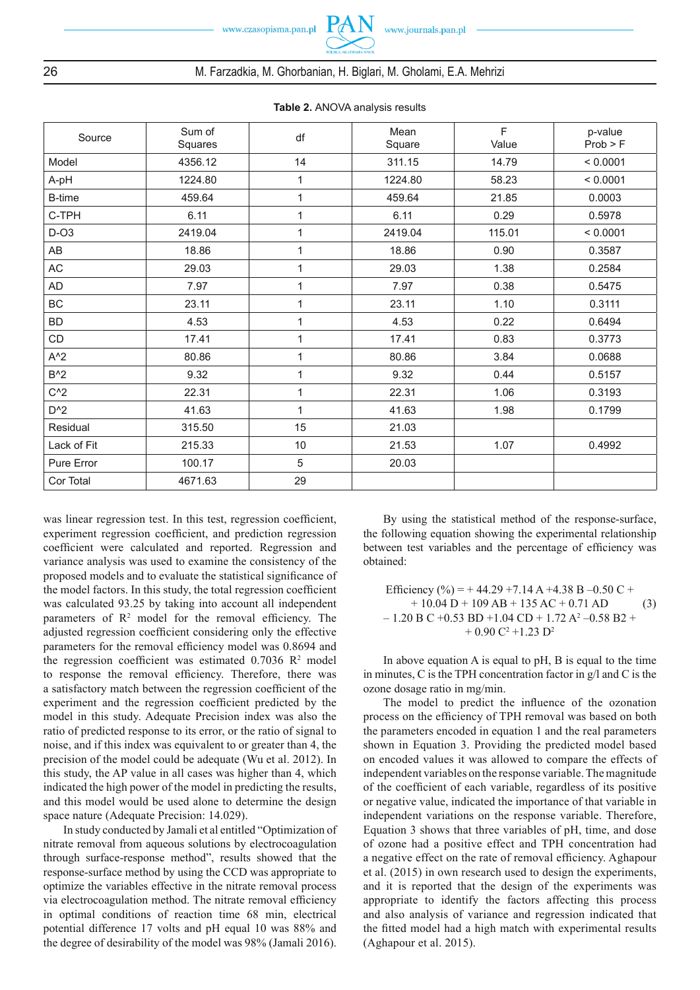

26 M. Farzadkia, M. Ghorbanian, H. Biglari, M. Gholami, E.A. Mehrizi

| Source        | Sum of  | df         | Mean    | F      | p-value  |
|---------------|---------|------------|---------|--------|----------|
|               | Squares |            | Square  | Value  | Prob > F |
| Model         | 4356.12 | 14         | 311.15  | 14.79  | < 0.0001 |
| A-pH          | 1224.80 | 1          | 1224.80 | 58.23  | < 0.0001 |
| <b>B-time</b> | 459.64  | 1          | 459.64  | 21.85  | 0.0003   |
| C-TPH         | 6.11    | 1          | 6.11    | 0.29   | 0.5978   |
| $D$ -O3       | 2419.04 | 1          | 2419.04 | 115.01 | < 0.0001 |
| AB            | 18.86   | 1          | 18.86   | 0.90   | 0.3587   |
| AC            | 29.03   | 1          | 29.03   | 1.38   | 0.2584   |
| AD            | 7.97    | 1          | 7.97    | 0.38   | 0.5475   |
| BC            | 23.11   | 1          | 23.11   | 1.10   | 0.3111   |
| <b>BD</b>     | 4.53    | 1          | 4.53    | 0.22   | 0.6494   |
| CD            | 17.41   | 1          | 17.41   | 0.83   | 0.3773   |
| $A^2$         | 80.86   | 1          | 80.86   | 3.84   | 0.0688   |
| $B^2$         | 9.32    | 1          | 9.32    | 0.44   | 0.5157   |
| $C^2$         | 22.31   | 1          | 22.31   | 1.06   | 0.3193   |
| $D^2$         | 41.63   | 1          | 41.63   | 1.98   | 0.1799   |
| Residual      | 315.50  | 15         | 21.03   |        |          |
| Lack of Fit   | 215.33  | 10         | 21.53   | 1.07   | 0.4992   |
| Pure Error    | 100.17  | $\sqrt{5}$ | 20.03   |        |          |
| Cor Total     | 4671.63 | 29         |         |        |          |

**Table 2.** ANOVA analysis results

was linear regression test. In this test, regression coefficient, experiment regression coefficient, and prediction regression coefficient were calculated and reported. Regression and variance analysis was used to examine the consistency of the proposed models and to evaluate the statistical significance of the model factors. In this study, the total regression coefficient was calculated 93.25 by taking into account all independent parameters of  $\mathbb{R}^2$  model for the removal efficiency. The adjusted regression coefficient considering only the effective parameters for the removal efficiency model was 0.8694 and the regression coefficient was estimated  $0.7036 \text{ R}^2$  model to response the removal efficiency. Therefore, there was a satisfactory match between the regression coefficient of the experiment and the regression coefficient predicted by the model in this study. Adequate Precision index was also the ratio of predicted response to its error, or the ratio of signal to noise, and if this index was equivalent to or greater than 4, the precision of the model could be adequate (Wu et al. 2012). In this study, the AP value in all cases was higher than 4, which indicated the high power of the model in predicting the results, and this model would be used alone to determine the design space nature (Adequate Precision: 14.029).

In study conducted by Jamali et al entitled "Optimization of nitrate removal from aqueous solutions by electrocoagulation through surface-response method", results showed that the response-surface method by using the CCD was appropriate to optimize the variables effective in the nitrate removal process via electrocoagulation method. The nitrate removal efficiency in optimal conditions of reaction time 68 min, electrical potential difference 17 volts and pH equal 10 was 88% and the degree of desirability of the model was 98% (Jamali 2016).

By using the statistical method of the response-surface, the following equation showing the experimental relationship between test variables and the percentage of efficiency was obtained:

Efficiency (
$$
\%
$$
) = + 44.29 +7.14 A +4.38 B -0.50 C +  
+ 10.04 D + 109 AB + 135 AC + 0.71 AD (3)  
- 1.20 B C +0.53 BD +1.04 CD + 1.72 A<sup>2</sup> -0.58 B2 +  
+ 0.90 C<sup>2</sup> +1.23 D<sup>2</sup>

In above equation A is equal to pH, B is equal to the time in minutes, C is the TPH concentration factor in g/l and C is the ozone dosage ratio in mg/min.

The model to predict the influence of the ozonation process on the efficiency of TPH removal was based on both the parameters encoded in equation 1 and the real parameters shown in Equation 3. Providing the predicted model based on encoded values it was allowed to compare the effects of independent variables on the response variable. The magnitude of the coefficient of each variable, regardless of its positive or negative value, indicated the importance of that variable in independent variations on the response variable. Therefore, Equation 3 shows that three variables of pH, time, and dose of ozone had a positive effect and TPH concentration had a negative effect on the rate of removal efficiency. Aghapour et al. (2015) in own research used to design the experiments, and it is reported that the design of the experiments was appropriate to identify the factors affecting this process and also analysis of variance and regression indicated that the fitted model had a high match with experimental results (Aghapour et al. 2015).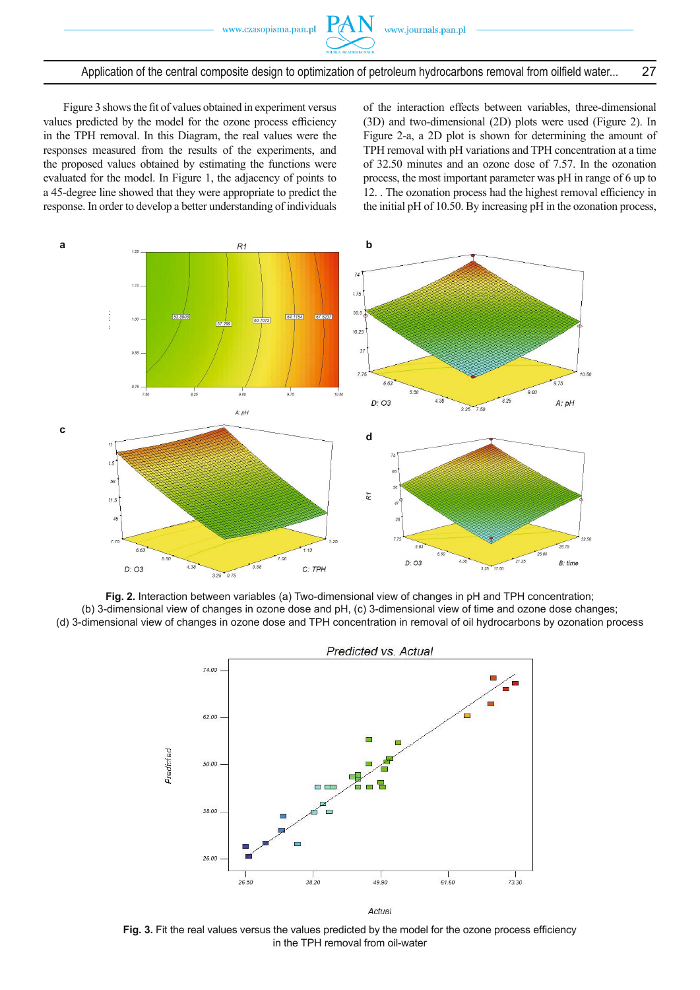

Application of the central composite design to optimization of petroleum hydrocarbons removal from oilfield water... 27

Figure 3 shows the fit of values obtained in experiment versus values predicted by the model for the ozone process efficiency in the TPH removal. In this Diagram, the real values were the responses measured from the results of the experiments, and the proposed values obtained by estimating the functions were evaluated for the model. In Figure 1, the adjacency of points to a 45-degree line showed that they were appropriate to predict the response. In order to develop a better understanding of individuals of the interaction effects between variables, three-dimensional (3D) and two-dimensional (2D) plots were used (Figure 2). In Figure 2-a, a 2D plot is shown for determining the amount of TPH removal with pH variations and TPH concentration at a time of 32.50 minutes and an ozone dose of 7.57. In the ozonation process, the most important parameter was pH in range of 6 up to 12. . The ozonation process had the highest removal efficiency in the initial pH of 10.50. By increasing pH in the ozonation process,



**Fig. 2.** Interaction between variables (a) Two-dimensional view of changes in pH and TPH concentration; (b) 3-dimensional view of changes in ozone dose and pH, (c) 3-dimensional view of time and ozone dose changes; (d) 3-dimensional view of changes in ozone dose and TPH concentration in removal of oil hydrocarbons by ozonation process



Fig. 3. Fit the real values versus the values predicted by the model for the ozone process efficiency in the TPH removal from oil-water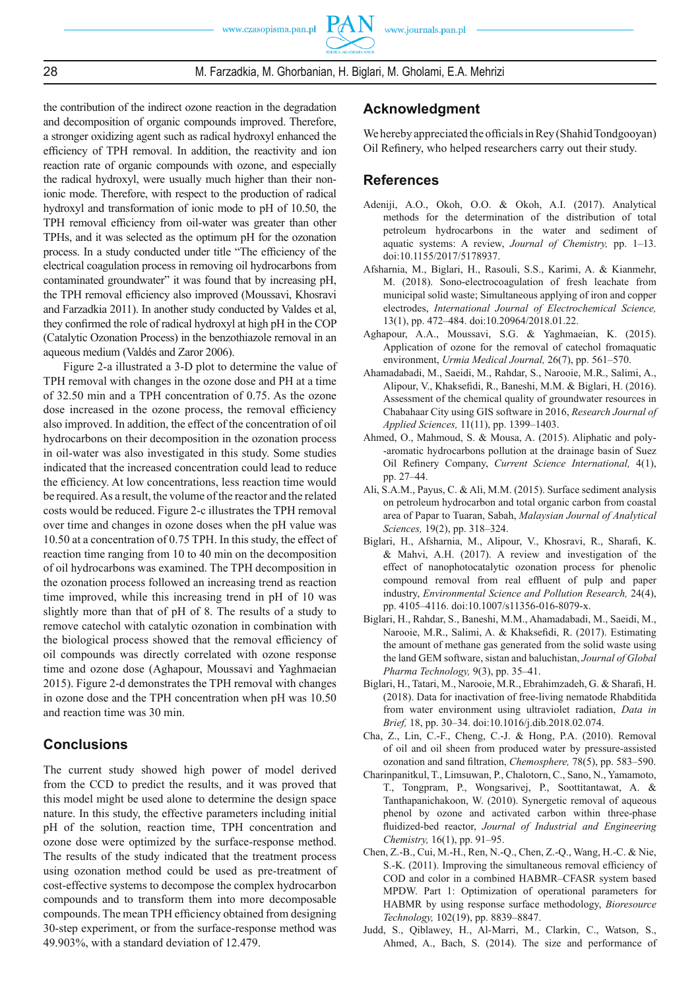

the contribution of the indirect ozone reaction in the degradation and decomposition of organic compounds improved. Therefore, a stronger oxidizing agent such as radical hydroxyl enhanced the efficiency of TPH removal. In addition, the reactivity and ion reaction rate of organic compounds with ozone, and especially the radical hydroxyl, were usually much higher than their nonionic mode. Therefore, with respect to the production of radical hydroxyl and transformation of ionic mode to pH of 10.50, the TPH removal efficiency from oil-water was greater than other TPHs, and it was selected as the optimum pH for the ozonation process. In a study conducted under title "The efficiency of the electrical coagulation process in removing oil hydrocarbons from contaminated groundwater" it was found that by increasing pH. the TPH removal efficiency also improved (Moussavi, Khosravi and Farzadkia 2011). In another study conducted by Valdes et al, they confirmed the role of radical hydroxyl at high pH in the COP (Catalytic Ozonation Process) in the benzothiazole removal in an aqueous medium (Valdés and Zaror 2006).

Figure 2-a illustrated a 3-D plot to determine the value of TPH removal with changes in the ozone dose and PH at a time of 32.50 min and a TPH concentration of 0.75. As the ozone dose increased in the ozone process, the removal efficiency also improved. In addition, the effect of the concentration of oil hydrocarbons on their decomposition in the ozonation process in oil-water was also investigated in this study. Some studies indicated that the increased concentration could lead to reduce the efficiency. At low concentrations, less reaction time would be required. As a result, the volume of the reactor and the related costs would be reduced. Figure 2-c illustrates the TPH removal over time and changes in ozone doses when the pH value was 10.50 at a concentration of 0.75 TPH. In this study, the effect of reaction time ranging from 10 to 40 min on the decomposition of oil hydrocarbons was examined. The TPH decomposition in the ozonation process followed an increasing trend as reaction time improved, while this increasing trend in pH of 10 was slightly more than that of pH of 8. The results of a study to remove catechol with catalytic ozonation in combination with the biological process showed that the removal efficiency of oil compounds was directly correlated with ozone response time and ozone dose (Aghapour, Moussavi and Yaghmaeian 2015). Figure 2-d demonstrates the TPH removal with changes in ozone dose and the TPH concentration when pH was 10.50 and reaction time was 30 min.

# **Conclusions**

The current study showed high power of model derived from the CCD to predict the results, and it was proved that this model might be used alone to determine the design space nature. In this study, the effective parameters including initial pH of the solution, reaction time, TPH concentration and ozone dose were optimized by the surface-response method. The results of the study indicated that the treatment process using ozonation method could be used as pre-treatment of cost-effective systems to decompose the complex hydrocarbon compounds and to transform them into more decomposable compounds. The mean TPH efficiency obtained from designing 30-step experiment, or from the surface-response method was 49.903%, with a standard deviation of 12.479.

## **Acknowledgment**

We hereby appreciated the officials in Rey (Shahid Tondgooyan) Oil Refinery, who helped researchers carry out their study.

## **References**

- Adeniji, A.O., Okoh, O.O. & Okoh, A.I. (2017). Analytical methods for the determination of the distribution of total petroleum hydrocarbons in the water and sediment of aquatic systems: A review, *Journal of Chemistry,* pp. 1–13. doi:10.1155/2017/5178937.
- Afsharnia, M., Biglari, H., Rasouli, S.S., Karimi, A. & Kianmehr, M. (2018). Sono-electrocoagulation of fresh leachate from municipal solid waste; Simultaneous applying of iron and copper electrodes, *International Journal of Electrochemical Science,*  13(1), pp. 472–484. doi:10.20964/2018.01.22.
- Aghapour, A.A., Moussavi, S.G. & Yaghmaeian, K. (2015). Application of ozone for the removal of catechol fromaquatic environment, *Urmia Medical Journal,* 26(7), pp. 561–570.
- Ahamadabadi, M., Saeidi, M., Rahdar, S., Narooie, M.R., Salimi, A., Alipour, V., Khaksefidi, R., Baneshi, M.M. & Biglari, H. (2016). Assessment of the chemical quality of groundwater resources in Chabahaar City using GIS software in 2016, *Research Journal of Applied Sciences,* 11(11), pp. 1399–1403.
- Ahmed, O., Mahmoud, S. & Mousa, A. (2015). Aliphatic and poly- -aromatic hydrocarbons pollution at the drainage basin of Suez Oil Refinery Company, *Current Science International*, 4(1), pp. 27–44.
- Ali, S.A.M., Payus, C. & Ali, M.M. (2015). Surface sediment analysis on petroleum hydrocarbon and total organic carbon from coastal area of Papar to Tuaran, Sabah, *Malaysian Journal of Analytical Sciences,* 19(2), pp. 318–324.
- Biglari, H., Afsharnia, M., Alipour, V., Khosravi, R., Sharafi, K. & Mahvi, A.H. (2017). A review and investigation of the effect of nanophotocatalytic ozonation process for phenolic compound removal from real effluent of pulp and paper industry, *Environmental Science and Pollution Research,* 24(4), pp. 4105–4116. doi:10.1007/s11356-016-8079-x.
- Biglari, H., Rahdar, S., Baneshi, M.M., Ahamadabadi, M., Saeidi, M., Narooie, M.R., Salimi, A. & Khaksefidi, R. (2017). Estimating the amount of methane gas generated from the solid waste using the land GEM software, sistan and baluchistan, *Journal of Global Pharma Technology,* 9(3), pp. 35–41.
- Biglari, H., Tatari, M., Narooie, M.R., Ebrahimzadeh, G. & Sharafi, H. (2018). Data for inactivation of free-living nematode Rhabditida from water environment using ultraviolet radiation, *Data in Brief,* 18, pp. 30–34. doi:10.1016/j.dib.2018.02.074.
- Cha, Z., Lin, C.-F., Cheng, C.-J. & Hong, P.A. (2010). Removal of oil and oil sheen from produced water by pressure-assisted ozonation and sand filtration, *Chemosphere*, 78(5), pp. 583–590.
- Charinpanitkul, T., Limsuwan, P., Chalotorn, C., Sano, N., Yamamoto, T., Tongpram, P., Wongsarivej, P., Soottitantawat, A. & Tanthapanichakoon, W. (2010). Synergetic removal of aqueous phenol by ozone and activated carbon within three-phase fluidized-bed reactor, *Journal of Industrial and Engineering Chemistry,* 16(1), pp. 91–95.
- Chen, Z.-B., Cui, M.-H., Ren, N.-Q., Chen, Z.-Q., Wang, H.-C. & Nie, S.-K. (2011). Improving the simultaneous removal efficiency of COD and color in a combined HABMR–CFASR system based MPDW. Part 1: Optimization of operational parameters for HABMR by using response surface methodology, *Bioresource Technology,* 102(19), pp. 8839–8847.
- Judd, S., Qiblawey, H., Al-Marri, M., Clarkin, C., Watson, S., Ahmed, A., Bach, S. (2014). The size and performance of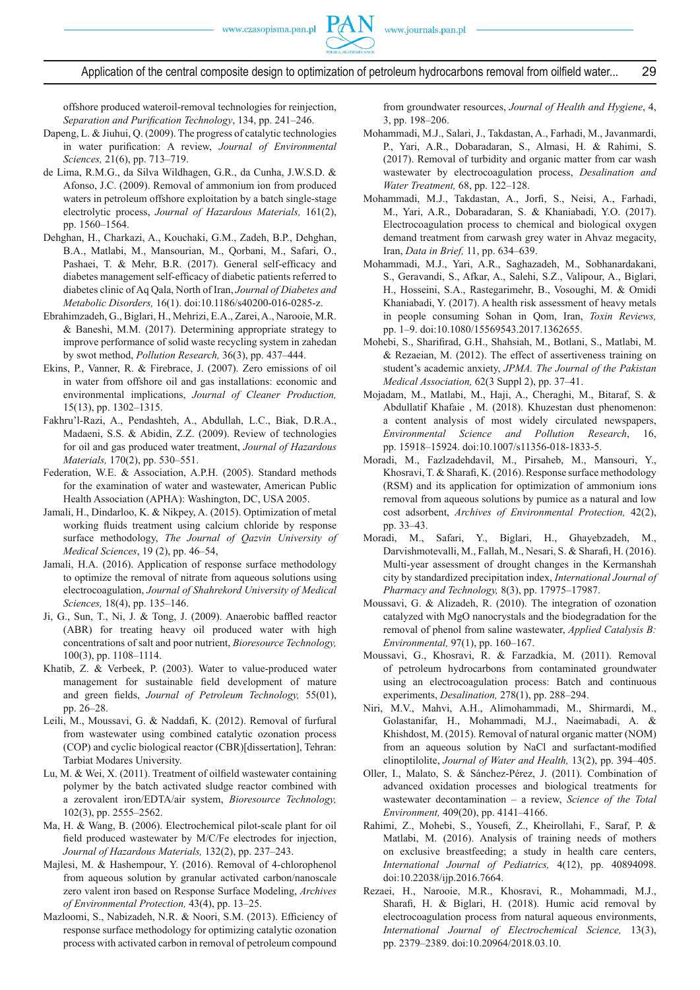Application of the central composite design to optimization of petroleum hydrocarbons removal from oilfield water... 29

offshore produced wateroil-removal technologies for reinjection, Separation and Purification Technology, 134, pp. 241-246.

- Dapeng, L. & Jiuhui, Q. (2009). The progress of catalytic technologies in water purification: A review, *Journal of Environmental Sciences,* 21(6), pp. 713–719.
- de Lima, R.M.G., da Silva Wildhagen, G.R., da Cunha, J.W.S.D. & Afonso, J.C. (2009). Removal of ammonium ion from produced waters in petroleum offshore exploitation by a batch single-stage electrolytic process, *Journal of Hazardous Materials,* 161(2), pp. 1560–1564.
- Dehghan, H., Charkazi, A., Kouchaki, G.M., Zadeh, B.P., Dehghan, B.A., Matlabi, M., Mansourian, M., Qorbani, M., Safari, O., Pashaei, T. & Mehr, B.R. (2017). General self-efficacy and diabetes management self-efficacy of diabetic patients referred to diabetes clinic of Aq Qala, North of Iran, *Journal of Diabetes and Metabolic Disorders,* 16(1). doi:10.1186/s40200-016-0285-z.
- Ebrahimzadeh, G., Biglari, H., Mehrizi, E.A., Zarei, A., Narooie, M.R. & Baneshi, M.M. (2017). Determining appropriate strategy to improve performance of solid waste recycling system in zahedan by swot method, *Pollution Research,* 36(3), pp. 437–444.
- Ekins, P., Vanner, R. & Firebrace, J. (2007). Zero emissions of oil in water from offshore oil and gas installations: economic and environmental implications, *Journal of Cleaner Production,*  15(13), pp. 1302–1315.
- Fakhru'l-Razi, A., Pendashteh, A., Abdullah, L.C., Biak, D.R.A., Madaeni, S.S. & Abidin, Z.Z. (2009). Review of technologies for oil and gas produced water treatment, *Journal of Hazardous Materials,* 170(2), pp. 530–551.
- Federation, W.E. & Association, A.P.H. (2005). Standard methods for the examination of water and wastewater, American Public Health Association (APHA): Washington, DC, USA 2005.
- Jamali, H., Dindarloo, K. & Nikpey, A. (2015). Optimization of metal working fluids treatment using calcium chloride by response surface methodology, *The Journal of Qazvin University of Medical Sciences*, 19 (2), pp. 46–54,
- Jamali, H.A. (2016). Application of response surface methodology to optimize the removal of nitrate from aqueous solutions using electrocoagulation, *Journal of Shahrekord University of Medical Sciences,* 18(4), pp. 135–146.
- Ji, G., Sun, T., Ni, J. & Tong, J. (2009). Anaerobic baffled reactor (ABR) for treating heavy oil produced water with high concentrations of salt and poor nutrient, *Bioresource Technology,*  100(3), pp. 1108–1114.
- Khatib, Z. & Verbeek, P. (2003). Water to value-produced water management for sustainable field development of mature and green fields, *Journal of Petroleum Technology*, 55(01), pp. 26–28.
- Leili, M., Moussavi, G. & Naddafi, K. (2012). Removal of furfural from wastewater using combined catalytic ozonation process (COP) and cyclic biological reactor (CBR)[dissertation], Tehran: Tarbiat Modares University.
- Lu, M. & Wei, X. (2011). Treatment of oilfield wastewater containing polymer by the batch activated sludge reactor combined with a zerovalent iron/EDTA/air system, *Bioresource Technology,*  102(3), pp. 2555–2562.
- Ma, H. & Wang, B. (2006). Electrochemical pilot-scale plant for oil field produced wastewater by M/C/Fe electrodes for injection. *Journal of Hazardous Materials,* 132(2), pp. 237–243.
- Majlesi, M. & Hashempour, Y. (2016). Removal of 4-chlorophenol from aqueous solution by granular activated carbon/nanoscale zero valent iron based on Response Surface Modeling, *Archives of Environmental Protection,* 43(4), pp. 13–25.
- Mazloomi, S., Nabizadeh, N.R. & Noori, S.M. (2013). Efficiency of response surface methodology for optimizing catalytic ozonation process with activated carbon in removal of petroleum compound

from groundwater resources, *Journal of Health and Hygiene*, 4, 3, pp. 198–206.

- Mohammadi, M.J., Salari, J., Takdastan, A., Farhadi, M., Javanmardi, P., Yari, A.R., Dobaradaran, S., Almasi, H. & Rahimi, S. (2017). Removal of turbidity and organic matter from car wash wastewater by electrocoagulation process, *Desalination and Water Treatment,* 68, pp. 122–128.
- Mohammadi, M.J., Takdastan, A., Jorfi, S., Neisi, A., Farhadi, M., Yari, A.R., Dobaradaran, S. & Khaniabadi, Y.O. (2017). Electrocoagulation process to chemical and biological oxygen demand treatment from carwash grey water in Ahvaz megacity, Iran, *Data in Brief,* 11, pp. 634–639.
- Mohammadi, M.J., Yari, A.R., Saghazadeh, M., Sobhanardakani, S., Geravandi, S., Afkar, A., Salehi, S.Z., Valipour, A., Biglari, H., Hosseini, S.A., Rastegarimehr, B., Vosoughi, M. & Omidi Khaniabadi, Y. (2017). A health risk assessment of heavy metals in people consuming Sohan in Qom, Iran, *Toxin Reviews,*  pp. 1–9. doi:10.1080/15569543.2017.1362655.
- Mohebi, S., Sharifirad, G.H., Shahsiah, M., Botlani, S., Matlabi, M. & Rezaeian, M. (2012). The effect of assertiveness training on student's academic anxiety, *JPMA. The Journal of the Pakistan Medical Association,* 62(3 Suppl 2), pp. 37–41.
- Mojadam, M., Matlabi, M., Haji, A., Cheraghi, M., Bitaraf, S. & Abdullatif Khafaie , M. (2018). Khuzestan dust phenomenon: a content analysis of most widely circulated newspapers, *Environmental Science and Pollution Research*, 16, pp. 15918–15924. doi:10.1007/s11356-018-1833-5.
- Moradi, M., Fazlzadehdavil, M., Pirsaheb, M., Mansouri, Y., Khosravi, T. & Sharafi, K. (2016). Response surface methodology (RSM) and its application for optimization of ammonium ions removal from aqueous solutions by pumice as a natural and low cost adsorbent, *Archives of Environmental Protection,* 42(2), pp. 33–43.
- Moradi, M., Safari, Y., Biglari, H., Ghayebzadeh, M., Darvishmotevalli, M., Fallah, M., Nesari, S. & Sharafi, H. (2016). Multi-year assessment of drought changes in the Kermanshah city by standardized precipitation index, *International Journal of Pharmacy and Technology,* 8(3), pp. 17975–17987.
- Moussavi, G. & Alizadeh, R. (2010). The integration of ozonation catalyzed with MgO nanocrystals and the biodegradation for the removal of phenol from saline wastewater, *Applied Catalysis B: Environmental,* 97(1), pp. 160–167.
- Moussavi, G., Khosravi, R. & Farzadkia, M. (2011). Removal of petroleum hydrocarbons from contaminated groundwater using an electrocoagulation process: Batch and continuous experiments, *Desalination,* 278(1), pp. 288–294.
- Niri, M.V., Mahvi, A.H., Alimohammadi, M., Shirmardi, M., Golastanifar, H., Mohammadi, M.J., Naeimabadi, A. & Khishdost, M. (2015). Removal of natural organic matter (NOM) from an aqueous solution by NaCl and surfactant-modified clinoptilolite, *Journal of Water and Health,* 13(2), pp. 394–405.
- Oller, I., Malato, S. & Sánchez-Pérez, J. (2011). Combination of advanced oxidation processes and biological treatments for wastewater decontamination – a review, *Science of the Total Environment,* 409(20), pp. 4141–4166.
- Rahimi, Z., Mohebi, S., Yousefi, Z., Kheirollahi, F., Saraf, P. & Matlabi, M. (2016). Analysis of training needs of mothers on exclusive breastfeeding; a study in health care centers, *International Journal of Pediatrics,* 4(12), pp. 40894098. doi:10.22038/ijp.2016.7664.
- Rezaei, H., Narooie, M.R., Khosravi, R., Mohammadi, M.J., Sharafi, H. & Biglari, H. (2018). Humic acid removal by electrocoagulation process from natural aqueous environments, *International Journal of Electrochemical Science,* 13(3), pp. 2379–2389. doi:10.20964/2018.03.10.